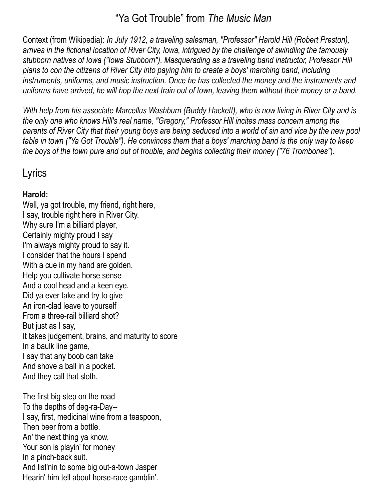## "Ya Got Trouble" from *The Music Man*

Context (from Wikipedia): *In July 1912, a traveling salesman, "Professor" Harold Hill [\(Robert Preston](http://en.wikipedia.org/wiki/Robert_Preston_%28actor%29)), arrives in the [fictional location](http://en.wikipedia.org/wiki/Fictional_location) of River City, [Iowa,](http://en.wikipedia.org/wiki/Iowa) intrigued by the challenge of swindling the famously stubborn natives of Iowa ("[Iowa Stubborn"](http://en.wikipedia.org/wiki/Iowa_Stubborn)). Masquerading as a traveling band instructor, Professor Hill plans to con the citizens of River City into paying him to create a boys' marching band, including instruments, uniforms, and music instruction. Once he has collected the money and the instruments and uniforms have arrived, he will hop the next train out of town, leaving them without their money or a band.*

*With help from his associate Marcellus Washburn ([Buddy Hackett\)](http://en.wikipedia.org/wiki/Buddy_Hackett), who is now living in River City and is the only one who knows Hill's real name, "Gregory," Professor Hill incites mass concern among the parents of River City that their young boys are being seduced into a world of sin and vice by the new pool table in town ("[Ya Got Trouble"](http://en.wikipedia.org/wiki/Ya_Got_Trouble)). He convinces them that a boys' marching band is the only way to keep the boys of the town pure and out of trouble, and begins collecting their money (["76 Trombones"](http://en.wikipedia.org/wiki/76_Trombones)*).

# Lyrics

## **Harold:**

Well, ya got trouble, my friend, right here, I say, trouble right here in River City. Why sure I'm a billiard player, Certainly mighty proud I say I'm always mighty proud to say it. I consider that the hours I spend With a cue in my hand are golden. Help you cultivate horse sense And a cool head and a keen eye. Did ya ever take and try to give An iron-clad leave to yourself From a three-rail billiard shot? But just as I say, It takes judgement, brains, and maturity to score In a baulk line game, I say that any boob can take And shove a ball in a pocket. And they call that sloth.

The first big step on the road To the depths of deg-ra-Day-- I say, first, medicinal wine from a teaspoon, Then beer from a bottle. An' the next thing ya know, Your son is playin' for money In a pinch-back suit. And list'nin to some big out-a-town Jasper Hearin' him tell about horse-race gamblin'.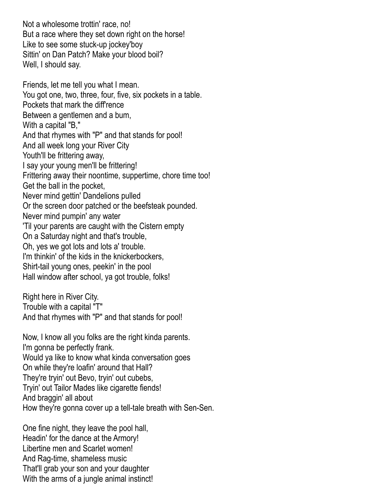Not a wholesome trottin' race, no! But a race where they set down right on the horse! Like to see some stuck-up jockey'boy Sittin' on Dan Patch? Make your blood boil? Well, I should say.

Friends, let me tell you what I mean. You got one, two, three, four, five, six pockets in a table. Pockets that mark the diff'rence Between a gentlemen and a bum, With a capital "B," And that rhymes with "P" and that stands for pool! And all week long your River City Youth'll be frittering away, I say your young men'll be frittering! Frittering away their noontime, suppertime, chore time too! Get the ball in the pocket, Never mind gettin' Dandelions pulled Or the screen door patched or the beefsteak pounded. Never mind pumpin' any water 'Til your parents are caught with the Cistern empty On a Saturday night and that's trouble, Oh, yes we got lots and lots a' trouble. I'm thinkin' of the kids in the knickerbockers, Shirt-tail young ones, peekin' in the pool Hall window after school, ya got trouble, folks!

Right here in River City. Trouble with a capital "T" And that rhymes with "P" and that stands for pool!

Now, I know all you folks are the right kinda parents. I'm gonna be perfectly frank. Would ya like to know what kinda conversation goes On while they're loafin' around that Hall? They're tryin' out Bevo, tryin' out cubebs, Tryin' out Tailor Mades like cigarette fiends! And braggin' all about How they're gonna cover up a tell-tale breath with Sen-Sen.

One fine night, they leave the pool hall, Headin' for the dance at the Armory! Libertine men and Scarlet women! And Rag-time, shameless music That'll grab your son and your daughter With the arms of a jungle animal instinct!